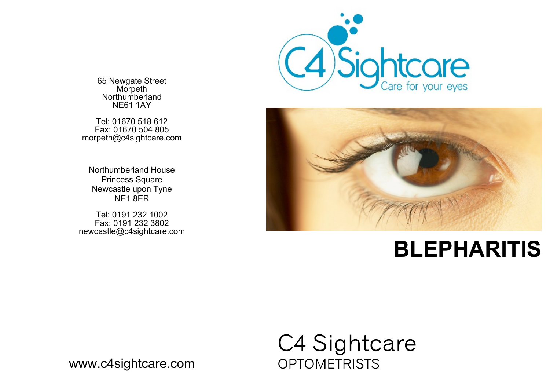

65 Newgate Street Morpeth Northumberland NE61 1AY

Tel: 01670 518 612 Fax: 01670 504 805 morpeth@c4sightcare.com

Northumberland House Princess Square Newcastle upon Tyne NE1 8ER

Tel: 0191 232 1002 Fax: 0191 232 3802 newcastle@c4sightcare.com



# **BLEPHARITIS**

# C4 Sightcare **OPTOMETRISTS**

www.c4sightcare.com